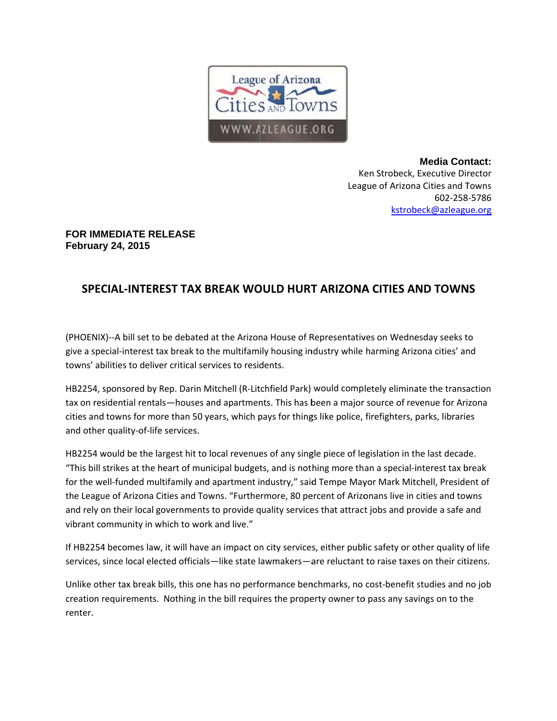

**Media Contact:** Ken Strobeck, Executive Director League of Arizona Cities and Towns 602-258-5786 kstrobeck@azleague.org

## **FOR IMMEDIATE RELEASE February 24, 2015**

## SPECIAL-INTEREST TAX BREAK WOULD HURT ARIZONA CITIES AND TOWNS

(PHOENIX)--A bill set to be debated at the Arizona House of Representatives on Wednesday seeks to give a special-interest tax break to the multifamily housing industry while harming Arizona cities' and towns' abilities to deliver critical services to residents.

HB2254, sponsored by Rep. Darin Mitchell (R-Litchfield Park) would completely eliminate the transaction tax on residential rentals—houses and apartments. This has been a major source of revenue for Arizona cities and towns for more than 50 years, which pays for things like police, firefighters, parks, libraries and other quality-of-life services.

HB2254 would be the largest hit to local revenues of any single piece of legislation in the last decade. "This bill strikes at the heart of municipal budgets, and is nothing more than a special-interest tax break for the well-funded multifamily and apartment industry," said Tempe Mayor Mark Mitchell, President of the League of Arizona Cities and Towns. "Furthermore, 80 percent of Arizonans live in cities and towns and rely on their local governments to provide quality services that attract jobs and provide a safe and vibrant community in which to work and live."

If HB2254 becomes law, it will have an impact on city services, either public safety or other quality of life services, since local elected officials-like state lawmakers-are reluctant to raise taxes on their citizens.

Unlike other tax break bills, this one has no performance benchmarks, no cost-benefit studies and no job creation requirements. Nothing in the bill requires the property owner to pass any savings on to the renter.